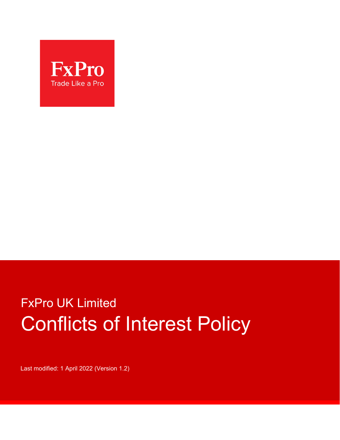

# FxPro UK Limited Conflicts of Interest Policy

Last modified: 1 April 2022 (Version 1.2)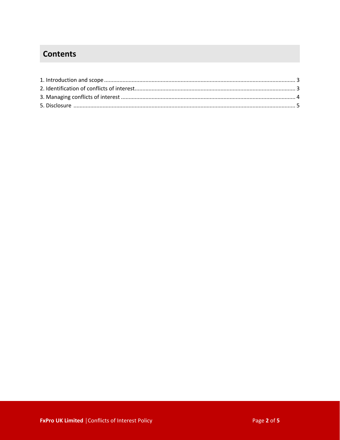# **Contents**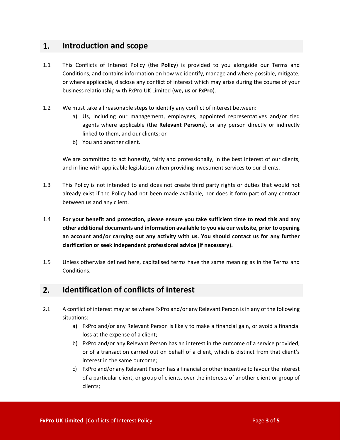## **1. Introduction and scope**

- 1.1 This Conflicts of Interest Policy (the **Policy**) is provided to you alongside our Terms and Conditions, and contains information on how we identify, manage and where possible, mitigate, or where applicable, disclose any conflict of interest which may arise during the course of your business relationship with FxPro UK Limited (**we, us** or **FxPro**).
- 1.2 We must take all reasonable steps to identify any conflict of interest between:
	- a) Us, including our management, employees, appointed representatives and/or tied agents where applicable (the **Relevant Persons**), or any person directly or indirectly linked to them, and our clients; or
	- b) You and another client.

We are committed to act honestly, fairly and professionally, in the best interest of our clients, and in line with applicable legislation when providing investment services to our clients.

- 1.3 This Policy is not intended to and does not create third party rights or duties that would not already exist if the Policy had not been made available, nor does it form part of any contract between us and any client.
- 1.4 **For your benefit and protection, please ensure you take sufficient time to read this and any other additional documents and information available to you via our website, prior to opening an account and/or carrying out any activity with us. You should contact us for any further clarification or seek independent professional advice (if necessary).**
- 1.5 Unless otherwise defined here, capitalised terms have the same meaning as in the Terms and Conditions.

# **2. Identification of conflicts of interest**

- 2.1 A conflict of interest may arise where FxPro and/or any Relevant Person is in any of the following situations:
	- a) FxPro and/or any Relevant Person is likely to make a financial gain, or avoid a financial loss at the expense of a client;
	- b) FxPro and/or any Relevant Person has an interest in the outcome of a service provided, or of a transaction carried out on behalf of a client, which is distinct from that client's interest in the same outcome;
	- c) FxPro and/or any Relevant Person has a financial or other incentive to favour the interest of a particular client, or group of clients, over the interests of another client or group of clients;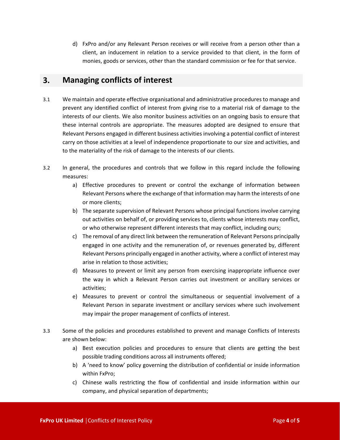d) FxPro and/or any Relevant Person receives or will receive from a person other than a client, an inducement in relation to a service provided to that client, in the form of monies, goods or services, other than the standard commission or fee for that service.

### **3. Managing conflicts of interest**

- 3.1 We maintain and operate effective organisational and administrative procedures to manage and prevent any identified conflict of interest from giving rise to a material risk of damage to the interests of our clients. We also monitor business activities on an ongoing basis to ensure that these internal controls are appropriate. The measures adopted are designed to ensure that Relevant Persons engaged in different business activities involving a potential conflict of interest carry on those activities at a level of independence proportionate to our size and activities, and to the materiality of the risk of damage to the interests of our clients.
- 3.2 In general, the procedures and controls that we follow in this regard include the following measures:
	- a) Effective procedures to prevent or control the exchange of information between Relevant Persons where the exchange of that information may harm the interests of one or more clients;
	- b) The separate supervision of Relevant Persons whose principal functions involve carrying out activities on behalf of, or providing services to, clients whose interests may conflict, or who otherwise represent different interests that may conflict, including ours;
	- c) The removal of any direct link between the remuneration of Relevant Persons principally engaged in one activity and the remuneration of, or revenues generated by, different Relevant Persons principally engaged in another activity, where a conflict of interest may arise in relation to those activities;
	- d) Measures to prevent or limit any person from exercising inappropriate influence over the way in which a Relevant Person carries out investment or ancillary services or activities;
	- e) Measures to prevent or control the simultaneous or sequential involvement of a Relevant Person in separate investment or ancillary services where such involvement may impair the proper management of conflicts of interest.
- 3.3 Some of the policies and procedures established to prevent and manage Conflicts of Interests are shown below:
	- a) Best execution policies and procedures to ensure that clients are getting the best possible trading conditions across all instruments offered;
	- b) A 'need to know' policy governing the distribution of confidential or inside information within FxPro;
	- c) Chinese walls restricting the flow of confidential and inside information within our company, and physical separation of departments;